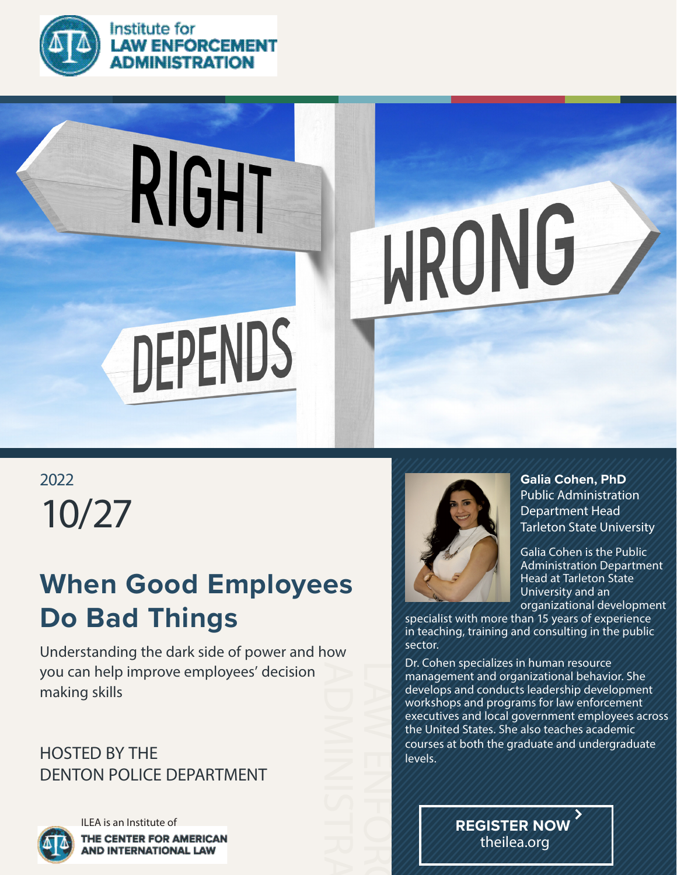

#### Institute for **LAW ENFORCEMENT ADMINISTRATION**

# RIGHT **WRONG** DEPENDS

10/27 2022

## **When Good Employees Do Bad Things**

Understanding the dark side of power and how you can help improve employees' decision making skills

### HOSTED BY THE DENTON POLICE DEPARTMENT



ILEA is an Institute of THE CENTER FOR AMERICAN **AND INTERNATIONAL LAW** 



**Galia Cohen, PhD** Public Administration Department Head Tarleton State University

Galia Cohen is the Public Administration Department Head at Tarleton State University and an organizational development

specialist with more than 15 years of experience in teaching, training and consulting in the public sector.

Dr. Cohen specializes in human resource management and organizational behavior. She develops and conducts leadership development workshops and programs for law enforcement executives and local government employees across the United States. She also teaches academic courses at both the graduate and undergraduate levels.

> **REGISTER NOW** theilea.org